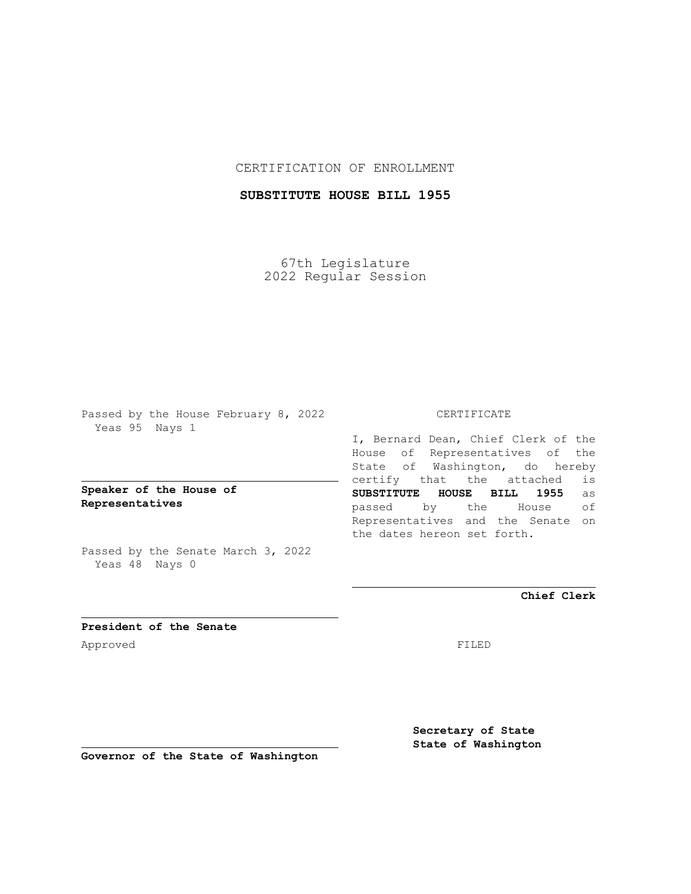## CERTIFICATION OF ENROLLMENT

## **SUBSTITUTE HOUSE BILL 1955**

67th Legislature 2022 Regular Session

Passed by the House February 8, 2022 Yeas 95 Nays 1

**Speaker of the House of Representatives**

Passed by the Senate March 3, 2022 Yeas 48 Nays 0

## CERTIFICATE

I, Bernard Dean, Chief Clerk of the House of Representatives of the State of Washington, do hereby certify that the attached is **SUBSTITUTE HOUSE BILL 1955** as passed by the House of Representatives and the Senate on the dates hereon set forth.

**Chief Clerk**

**President of the Senate** Approved FILED

**Secretary of State State of Washington**

**Governor of the State of Washington**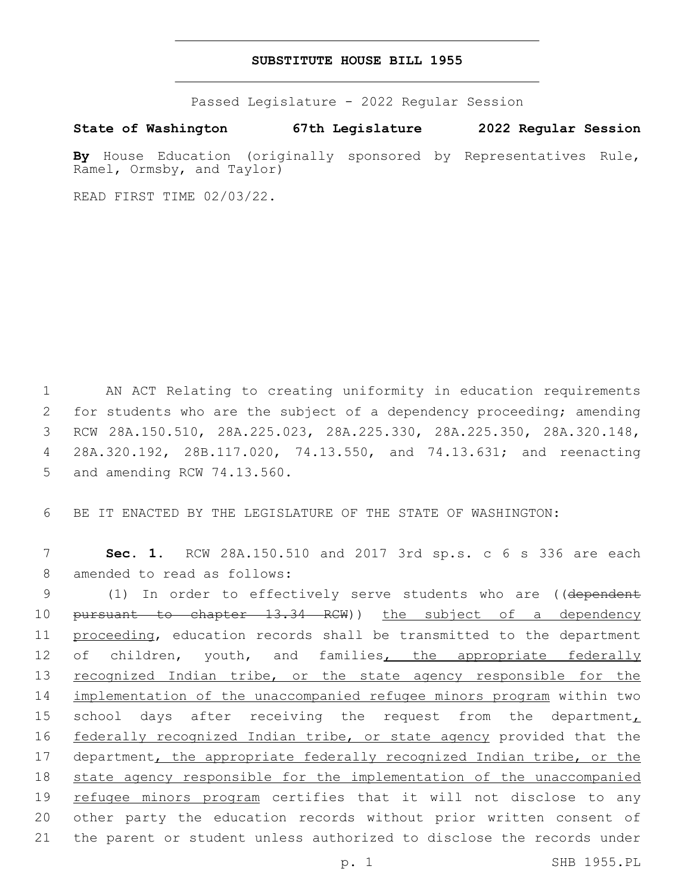## **SUBSTITUTE HOUSE BILL 1955**

Passed Legislature - 2022 Regular Session

**State of Washington 67th Legislature 2022 Regular Session**

By House Education (originally sponsored by Representatives Rule, Ramel, Ormsby, and Taylor)

READ FIRST TIME 02/03/22.

1 AN ACT Relating to creating uniformity in education requirements 2 for students who are the subject of a dependency proceeding; amending 3 RCW 28A.150.510, 28A.225.023, 28A.225.330, 28A.225.350, 28A.320.148, 4 28A.320.192, 28B.117.020, 74.13.550, and 74.13.631; and reenacting 5 and amending RCW 74.13.560.

6 BE IT ENACTED BY THE LEGISLATURE OF THE STATE OF WASHINGTON:

7 **Sec. 1.** RCW 28A.150.510 and 2017 3rd sp.s. c 6 s 336 are each 8 amended to read as follows:

9 (1) In order to effectively serve students who are ((dependent 10 pursuant to chapter 13.34 RCW)) the subject of a dependency 11 proceeding, education records shall be transmitted to the department 12 of children, youth, and families, the appropriate federally 13 recognized Indian tribe, or the state agency responsible for the 14 implementation of the unaccompanied refugee minors program within two 15 school days after receiving the request from the department $<sub>L</sub>$ </sub> 16 federally recognized Indian tribe, or state agency provided that the 17 department, the appropriate federally recognized Indian tribe, or the 18 state agency responsible for the implementation of the unaccompanied 19 refugee minors program certifies that it will not disclose to any 20 other party the education records without prior written consent of 21 the parent or student unless authorized to disclose the records under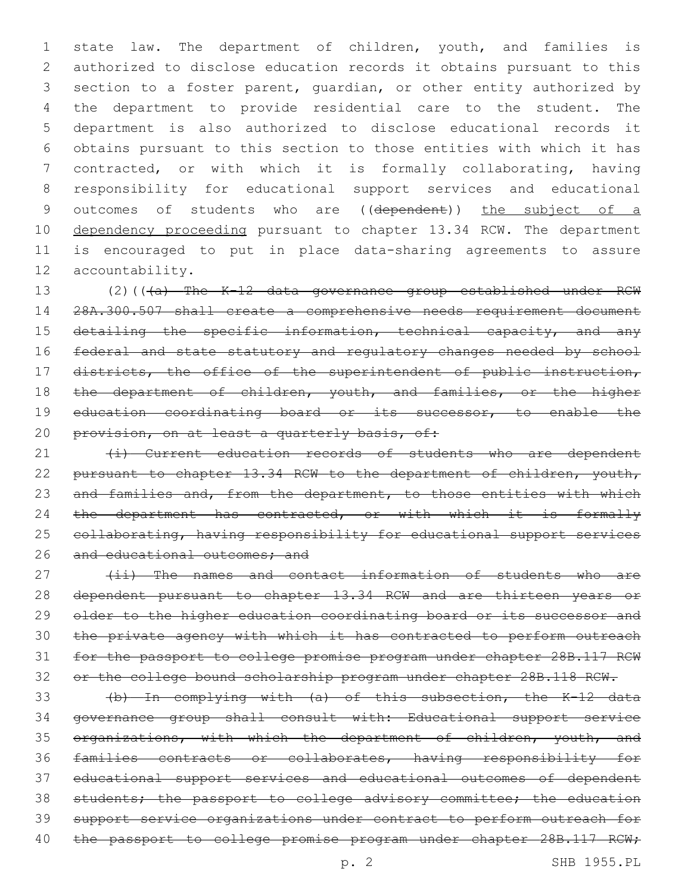state law. The department of children, youth, and families is authorized to disclose education records it obtains pursuant to this section to a foster parent, guardian, or other entity authorized by the department to provide residential care to the student. The department is also authorized to disclose educational records it obtains pursuant to this section to those entities with which it has contracted, or with which it is formally collaborating, having responsibility for educational support services and educational 9 outcomes of students who are ((dependent)) the subject of a 10 dependency proceeding pursuant to chapter 13.34 RCW. The department is encouraged to put in place data-sharing agreements to assure 12 accountability.

13 (2)(((a) The K-12 data governance group established under RCW 14 28A.300.507 shall create a comprehensive needs requirement document 15 detailing the specific information, technical capacity, and any 16 federal and state statutory and regulatory changes needed by school 17 districts, the office of the superintendent of public instruction, 18 the department of children, youth, and families, or the higher 19 education coordinating board or its successor, to enable the 20 provision, on at least a quarterly basis, of:

21 (i) Current education records of students who are dependent 22 pursuant to chapter 13.34 RCW to the department of children, youth, 23 and families and, from the department, to those entities with which 24 the department has contracted, or with which it is formally 25 collaborating, having responsibility for educational support services 26 and educational outcomes; and

27 (ii) The names and contact information of students who are dependent pursuant to chapter 13.34 RCW and are thirteen years or 29 older to the higher education coordinating board or its successor and the private agency with which it has contracted to perform outreach for the passport to college promise program under chapter 28B.117 RCW or the college bound scholarship program under chapter 28B.118 RCW.

 (b) In complying with (a) of this subsection, the K-12 data governance group shall consult with: Educational support service 35 organizations, with which the department of children, youth, and families contracts or collaborates, having responsibility for educational support services and educational outcomes of dependent 38 students; the passport to college advisory committee; the education support service organizations under contract to perform outreach for 40 the passport to college promise program under chapter 28B.117 RCW;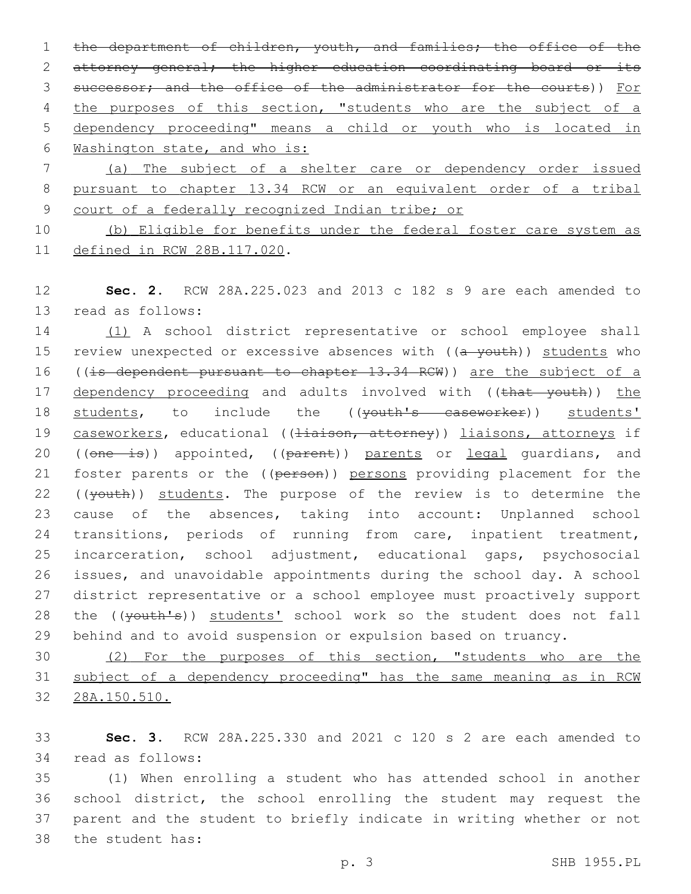1 the department of children, youth, and families; the office of the 2 attorney general; the higher education coordinating board or its 3 successor; and the office of the administrator for the courts)) For 4 the purposes of this section, "students who are the subject of a 5 dependency proceeding" means a child or youth who is located in 6 Washington state, and who is: 7 (a) The subject of a shelter care or dependency order issued

8 pursuant to chapter 13.34 RCW or an equivalent order of a tribal 9 court of a federally recognized Indian tribe; or

10 (b) Eligible for benefits under the federal foster care system as 11 defined in RCW 28B.117.020.

12 **Sec. 2.** RCW 28A.225.023 and 2013 c 182 s 9 are each amended to 13 read as follows:

14 (1) A school district representative or school employee shall 15 review unexpected or excessive absences with ((a youth)) students who 16 ((is dependent pursuant to chapter 13.34 RCW)) are the subject of a 17 dependency proceeding and adults involved with ((that youth)) the 18 students, to include the ((youth's caseworker)) students' 19 caseworkers, educational ((Hiaison, attorney)) liaisons, attorneys if 20 ((one is)) appointed, ((parent)) parents or legal guardians, and 21 foster parents or the ((person)) persons providing placement for the 22 ((youth)) students. The purpose of the review is to determine the 23 cause of the absences, taking into account: Unplanned school 24 transitions, periods of running from care, inpatient treatment, 25 incarceration, school adjustment, educational gaps, psychosocial 26 issues, and unavoidable appointments during the school day. A school 27 district representative or a school employee must proactively support 28 the ((youth's)) students' school work so the student does not fall 29 behind and to avoid suspension or expulsion based on truancy.

30 (2) For the purposes of this section, "students who are the 31 subject of a dependency proceeding" has the same meaning as in RCW 32 28A.150.510.

33 **Sec. 3.** RCW 28A.225.330 and 2021 c 120 s 2 are each amended to 34 read as follows:

 (1) When enrolling a student who has attended school in another school district, the school enrolling the student may request the parent and the student to briefly indicate in writing whether or not 38 the student has: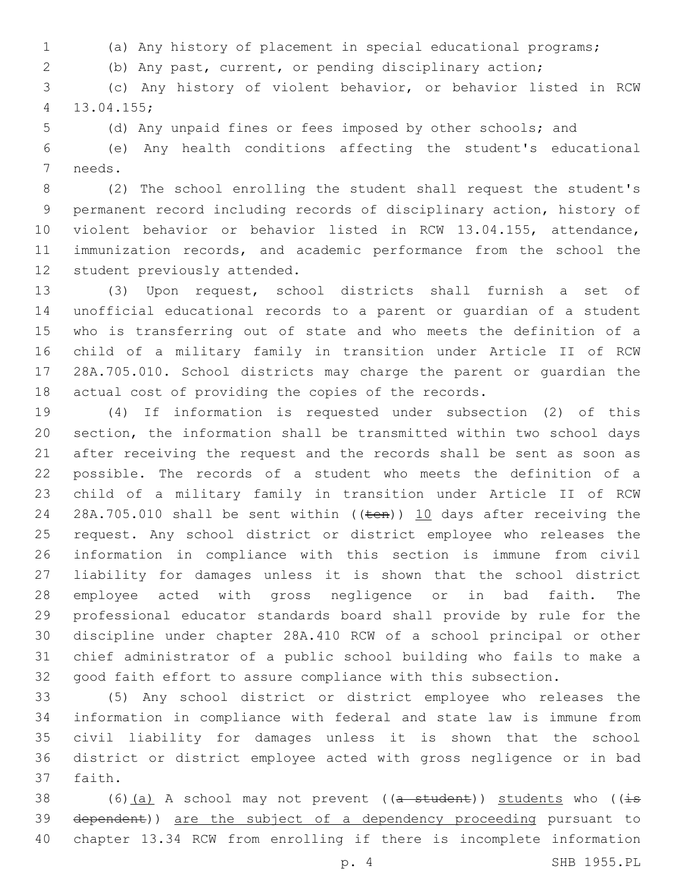- (a) Any history of placement in special educational programs;
- (b) Any past, current, or pending disciplinary action;

 (c) Any history of violent behavior, or behavior listed in RCW 13.04.155;4

(d) Any unpaid fines or fees imposed by other schools; and

 (e) Any health conditions affecting the student's educational 7 needs.

 (2) The school enrolling the student shall request the student's permanent record including records of disciplinary action, history of violent behavior or behavior listed in RCW 13.04.155, attendance, immunization records, and academic performance from the school the 12 student previously attended.

 (3) Upon request, school districts shall furnish a set of unofficial educational records to a parent or guardian of a student who is transferring out of state and who meets the definition of a child of a military family in transition under Article II of RCW 28A.705.010. School districts may charge the parent or guardian the actual cost of providing the copies of the records.

 (4) If information is requested under subsection (2) of this section, the information shall be transmitted within two school days after receiving the request and the records shall be sent as soon as possible. The records of a student who meets the definition of a child of a military family in transition under Article II of RCW 24 28A.705.010 shall be sent within ((ten)) 10 days after receiving the request. Any school district or district employee who releases the information in compliance with this section is immune from civil liability for damages unless it is shown that the school district employee acted with gross negligence or in bad faith. The professional educator standards board shall provide by rule for the discipline under chapter 28A.410 RCW of a school principal or other chief administrator of a public school building who fails to make a good faith effort to assure compliance with this subsection.

 (5) Any school district or district employee who releases the information in compliance with federal and state law is immune from civil liability for damages unless it is shown that the school district or district employee acted with gross negligence or in bad 37 faith.

38 (6)(a) A school may not prevent ( $(a - student)$ ) students who ( $(i\text{-}s$ 39 dependent)) are the subject of a dependency proceeding pursuant to chapter 13.34 RCW from enrolling if there is incomplete information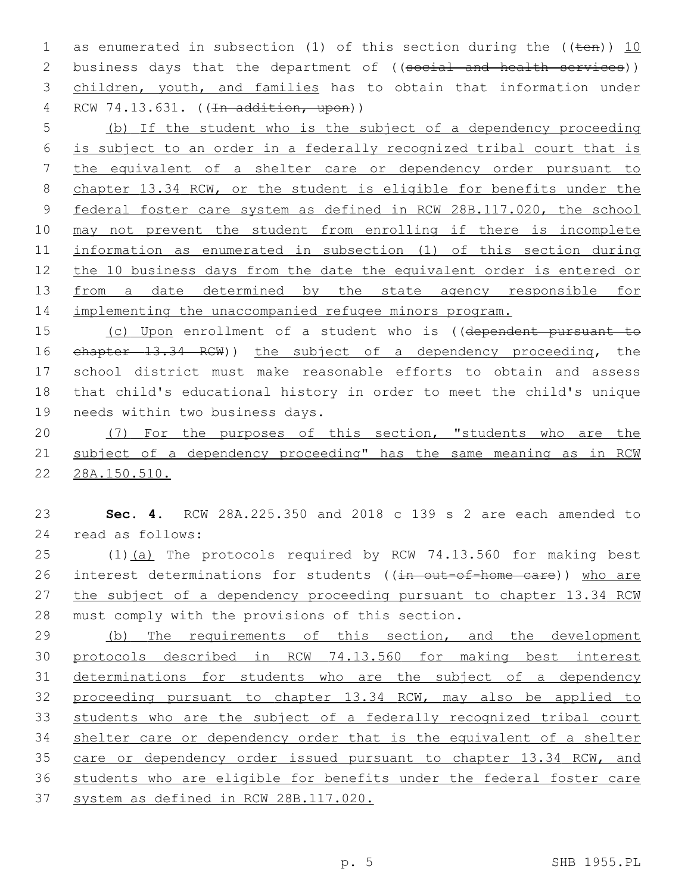1 as enumerated in subsection (1) of this section during the  $((\text{ten}))$  10 2 business days that the department of ((social and health services)) children, youth, and families has to obtain that information under 4 RCW 74.13.631. ((<del>In addition, upon</del>))

 (b) If the student who is the subject of a dependency proceeding is subject to an order in a federally recognized tribal court that is the equivalent of a shelter care or dependency order pursuant to chapter 13.34 RCW, or the student is eligible for benefits under the federal foster care system as defined in RCW 28B.117.020, the school may not prevent the student from enrolling if there is incomplete information as enumerated in subsection (1) of this section during the 10 business days from the date the equivalent order is entered or 13 from a date determined by the state agency responsible for implementing the unaccompanied refugee minors program.

 (c) Upon enrollment of a student who is ((dependent pursuant to chapter 13.34 RCW)) the subject of a dependency proceeding, the school district must make reasonable efforts to obtain and assess that child's educational history in order to meet the child's unique 19 needs within two business days.

20 (7) For the purposes of this section, "students who are the subject of a dependency proceeding" has the same meaning as in RCW 28A.150.510.

 **Sec. 4.** RCW 28A.225.350 and 2018 c 139 s 2 are each amended to read as follows:24

25 (1)(a) The protocols required by RCW 74.13.560 for making best 26 interest determinations for students ((in out-of-home care)) who are 27 the subject of a dependency proceeding pursuant to chapter 13.34 RCW 28 must comply with the provisions of this section.

29 (b) The requirements of this section, and the development protocols described in RCW 74.13.560 for making best interest 31 determinations for students who are the subject of a dependency proceeding pursuant to chapter 13.34 RCW, may also be applied to students who are the subject of a federally recognized tribal court shelter care or dependency order that is the equivalent of a shelter 35 care or dependency order issued pursuant to chapter 13.34 RCW, and students who are eligible for benefits under the federal foster care system as defined in RCW 28B.117.020.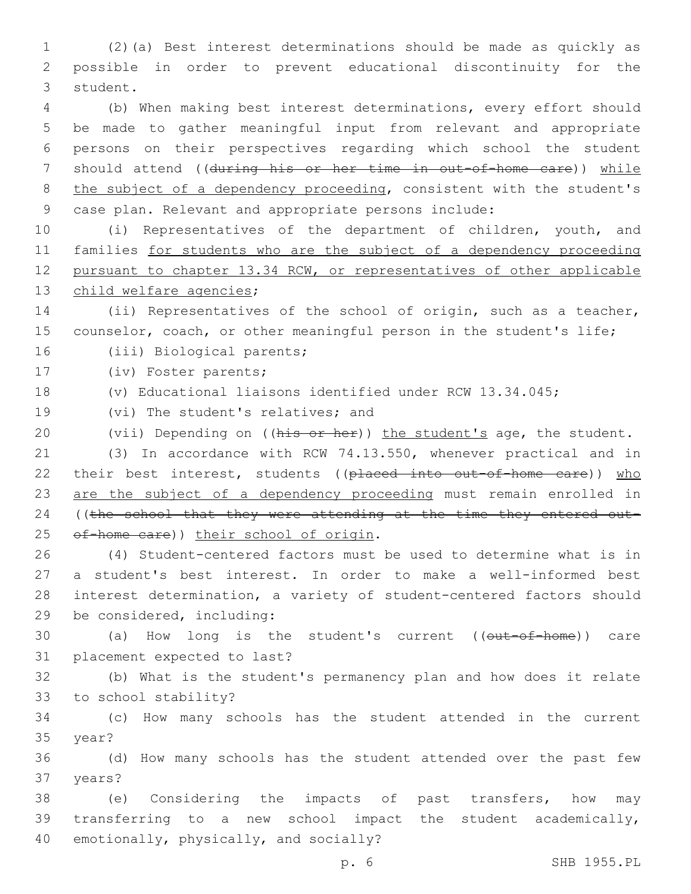1 (2)(a) Best interest determinations should be made as quickly as 2 possible in order to prevent educational discontinuity for the 3 student.

 (b) When making best interest determinations, every effort should be made to gather meaningful input from relevant and appropriate persons on their perspectives regarding which school the student 7 should attend ((during his or her time in out-of-home care)) while 8 the subject of a dependency proceeding, consistent with the student's case plan. Relevant and appropriate persons include:

 (i) Representatives of the department of children, youth, and families for students who are the subject of a dependency proceeding pursuant to chapter 13.34 RCW, or representatives of other applicable 13 child welfare agencies;

14 (ii) Representatives of the school of origin, such as a teacher, 15 counselor, coach, or other meaningful person in the student's life;

16 (iii) Biological parents;

17 (iv) Foster parents;

18 (v) Educational liaisons identified under RCW 13.34.045;

19 (vi) The student's relatives; and

20 (vii) Depending on ((his or her)) the student's age, the student.

21 (3) In accordance with RCW 74.13.550, whenever practical and in 22 their best interest, students ((placed into out-of-home care)) who 23 are the subject of a dependency proceeding must remain enrolled in 24 ((the school that they were attending at the time they entered out-25 of-home care)) their school of origin.

 (4) Student-centered factors must be used to determine what is in a student's best interest. In order to make a well-informed best interest determination, a variety of student-centered factors should 29 be considered, including:

30 (a) How long is the student's current ((out-of-home)) care 31 placement expected to last?

32 (b) What is the student's permanency plan and how does it relate 33 to school stability?

34 (c) How many schools has the student attended in the current 35 year?

36 (d) How many schools has the student attended over the past few 37 years?

38 (e) Considering the impacts of past transfers, how may 39 transferring to a new school impact the student academically, 40 emotionally, physically, and socially?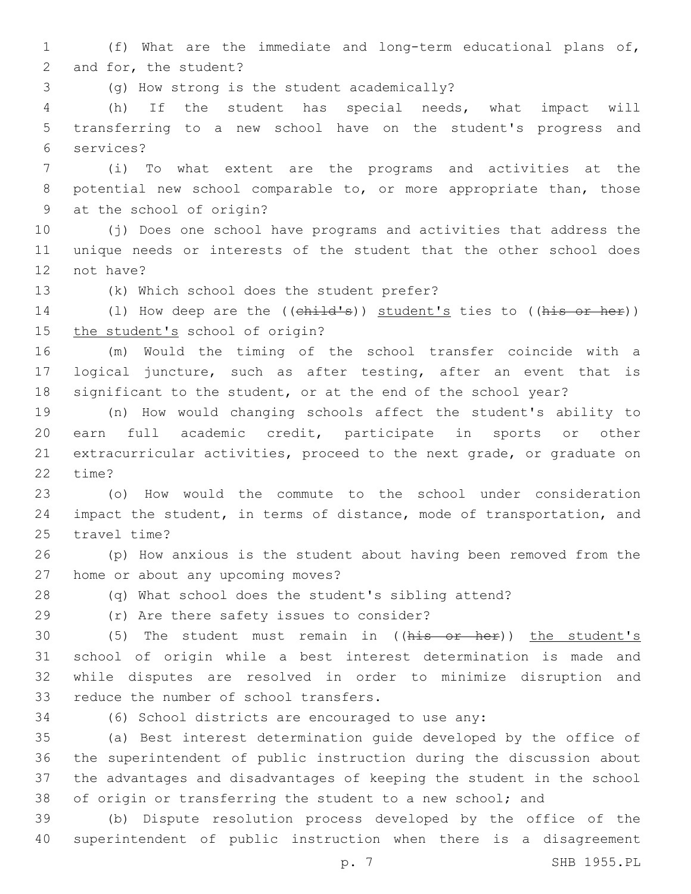1 (f) What are the immediate and long-term educational plans of, 2 and for, the student?

(g) How strong is the student academically?3

4 (h) If the student has special needs, what impact will 5 transferring to a new school have on the student's progress and services?6

7 (i) To what extent are the programs and activities at the 8 potential new school comparable to, or more appropriate than, those 9 at the school of origin?

10 (j) Does one school have programs and activities that address the 11 unique needs or interests of the student that the other school does 12 not have?

13 (k) Which school does the student prefer?

14 (1) How deep are the ((child's)) student's ties to ((his or her)) 15 the student's school of origin?

16 (m) Would the timing of the school transfer coincide with a 17 logical juncture, such as after testing, after an event that is 18 significant to the student, or at the end of the school year?

 (n) How would changing schools affect the student's ability to earn full academic credit, participate in sports or other extracurricular activities, proceed to the next grade, or graduate on 22 time?

23 (o) How would the commute to the school under consideration 24 impact the student, in terms of distance, mode of transportation, and 25 travel time?

26 (p) How anxious is the student about having been removed from the 27 home or about any upcoming moves?

28 (q) What school does the student's sibling attend?

(r) Are there safety issues to consider?29

30 (5) The student must remain in ((his or her)) the student's 31 school of origin while a best interest determination is made and 32 while disputes are resolved in order to minimize disruption and 33 reduce the number of school transfers.

34 (6) School districts are encouraged to use any:

 (a) Best interest determination guide developed by the office of the superintendent of public instruction during the discussion about the advantages and disadvantages of keeping the student in the school 38 of origin or transferring the student to a new school; and

39 (b) Dispute resolution process developed by the office of the 40 superintendent of public instruction when there is a disagreement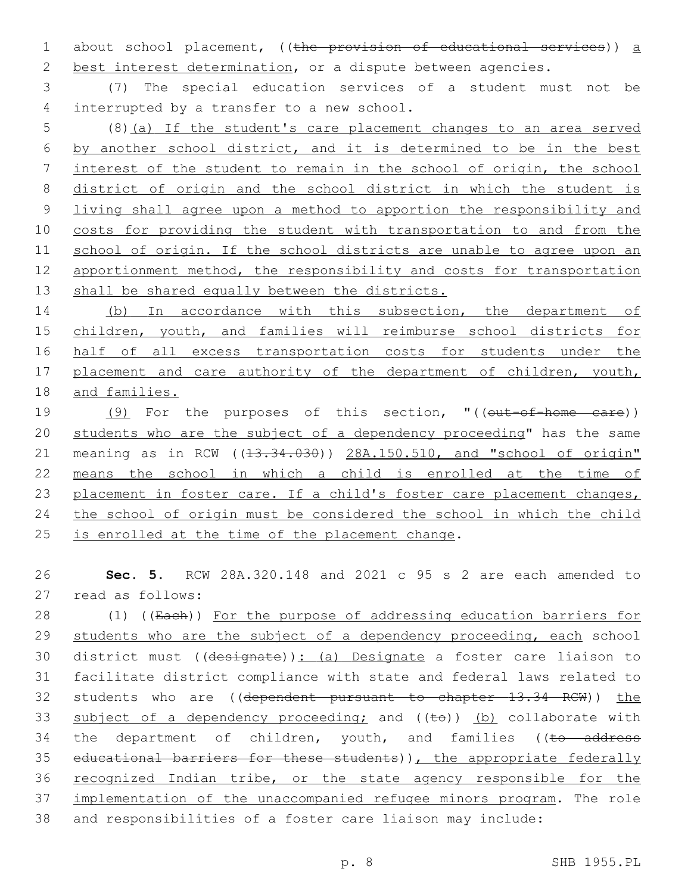1 about school placement, ((the provision of educational services)) a 2 best interest determination, or a dispute between agencies.

3 (7) The special education services of a student must not be 4 interrupted by a transfer to a new school.

 (8)(a) If the student's care placement changes to an area served by another school district, and it is determined to be in the best interest of the student to remain in the school of origin, the school district of origin and the school district in which the student is living shall agree upon a method to apportion the responsibility and costs for providing the student with transportation to and from the school of origin. If the school districts are unable to agree upon an 12 apportionment method, the responsibility and costs for transportation 13 shall be shared equally between the districts.

14 (b) In accordance with this subsection, the department of 15 children, youth, and families will reimburse school districts for 16 half of all excess transportation costs for students under the 17 placement and care authority of the department of children, youth, 18 and families.

19 (9) For the purposes of this section, "((out-of-home care)) 20 students who are the subject of a dependency proceeding" has the same 21 meaning as in RCW ((13.34.030)) 28A.150.510, and "school of origin" 22 means the school in which a child is enrolled at the time of 23 placement in foster care. If a child's foster care placement changes, 24 the school of origin must be considered the school in which the child 25 is enrolled at the time of the placement change.

26 **Sec. 5.** RCW 28A.320.148 and 2021 c 95 s 2 are each amended to 27 read as follows:

28 (1) ((Each)) For the purpose of addressing education barriers for 29 students who are the subject of a dependency proceeding, each school 30 district must ((designate)): (a) Designate a foster care liaison to 31 facilitate district compliance with state and federal laws related to 32 students who are ((dependent pursuant to chapter 13.34 RCW)) the 33 subject of a dependency proceeding; and  $((\pm e))$  (b) collaborate with 34 the department of children, youth, and families ((to address 35 educational barriers for these students)), the appropriate federally 36 recognized Indian tribe, or the state agency responsible for the 37 implementation of the unaccompanied refugee minors program. The role 38 and responsibilities of a foster care liaison may include: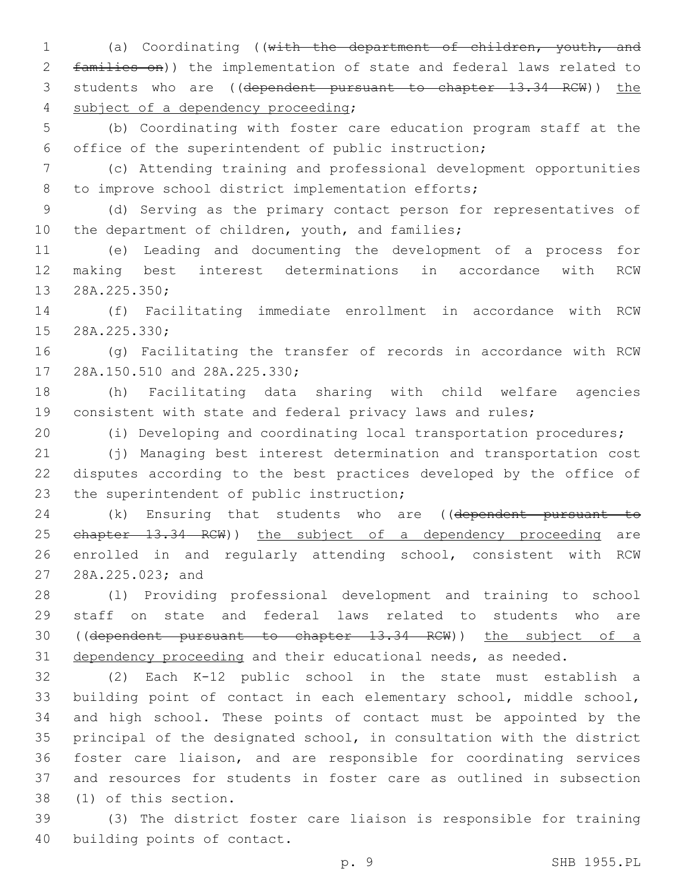(a) Coordinating ((with the department of children, youth, and families on)) the implementation of state and federal laws related to 3 students who are ((dependent pursuant to chapter 13.34 RCW)) the 4 subject of a dependency proceeding;

 (b) Coordinating with foster care education program staff at the office of the superintendent of public instruction;

 (c) Attending training and professional development opportunities 8 to improve school district implementation efforts;

 (d) Serving as the primary contact person for representatives of 10 the department of children, youth, and families;

 (e) Leading and documenting the development of a process for making best interest determinations in accordance with RCW 13 28A.225.350;

 (f) Facilitating immediate enrollment in accordance with RCW 15 28A.225.330;

 (g) Facilitating the transfer of records in accordance with RCW 17 28A.150.510 and 28A.225.330;

 (h) Facilitating data sharing with child welfare agencies consistent with state and federal privacy laws and rules;

(i) Developing and coordinating local transportation procedures;

 (j) Managing best interest determination and transportation cost disputes according to the best practices developed by the office of 23 the superintendent of public instruction;

24 (k) Ensuring that students who are ((dependent pursuant to 25 ehapter 13.34 RCW)) the subject of a dependency proceeding are enrolled in and regularly attending school, consistent with RCW 27 28A.225.023; and

 (l) Providing professional development and training to school staff on state and federal laws related to students who are ((dependent pursuant to chapter 13.34 RCW)) the subject of a 31 dependency proceeding and their educational needs, as needed.

 (2) Each K-12 public school in the state must establish a building point of contact in each elementary school, middle school, and high school. These points of contact must be appointed by the principal of the designated school, in consultation with the district foster care liaison, and are responsible for coordinating services and resources for students in foster care as outlined in subsection 38 (1) of this section.

 (3) The district foster care liaison is responsible for training 40 building points of contact.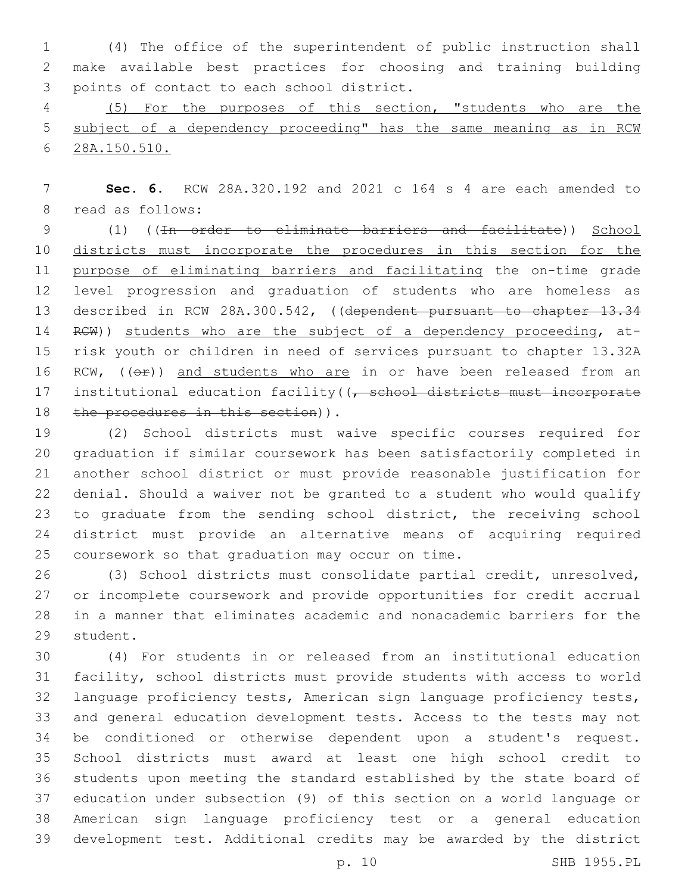(4) The office of the superintendent of public instruction shall make available best practices for choosing and training building 3 points of contact to each school district.

 (5) For the purposes of this section, "students who are the subject of a dependency proceeding" has the same meaning as in RCW 28A.150.510.

 **Sec. 6.** RCW 28A.320.192 and 2021 c 164 s 4 are each amended to 8 read as follows:

 (1) ((In order to eliminate barriers and facilitate)) School districts must incorporate the procedures in this section for the purpose of eliminating barriers and facilitating the on-time grade level progression and graduation of students who are homeless as 13 described in RCW 28A.300.542, ((dependent pursuant to chapter 13.34 14 RCW)) students who are the subject of a dependency proceeding, at- risk youth or children in need of services pursuant to chapter 13.32A 16 RCW, ((OP)) and students who are in or have been released from an 17 institutional education facility((<del>, school districts must incorporate</del> 18 the procedures in this section)).

 (2) School districts must waive specific courses required for graduation if similar coursework has been satisfactorily completed in another school district or must provide reasonable justification for denial. Should a waiver not be granted to a student who would qualify to graduate from the sending school district, the receiving school district must provide an alternative means of acquiring required 25 coursework so that graduation may occur on time.

 (3) School districts must consolidate partial credit, unresolved, or incomplete coursework and provide opportunities for credit accrual in a manner that eliminates academic and nonacademic barriers for the 29 student.

 (4) For students in or released from an institutional education facility, school districts must provide students with access to world language proficiency tests, American sign language proficiency tests, and general education development tests. Access to the tests may not be conditioned or otherwise dependent upon a student's request. School districts must award at least one high school credit to students upon meeting the standard established by the state board of education under subsection (9) of this section on a world language or American sign language proficiency test or a general education development test. Additional credits may be awarded by the district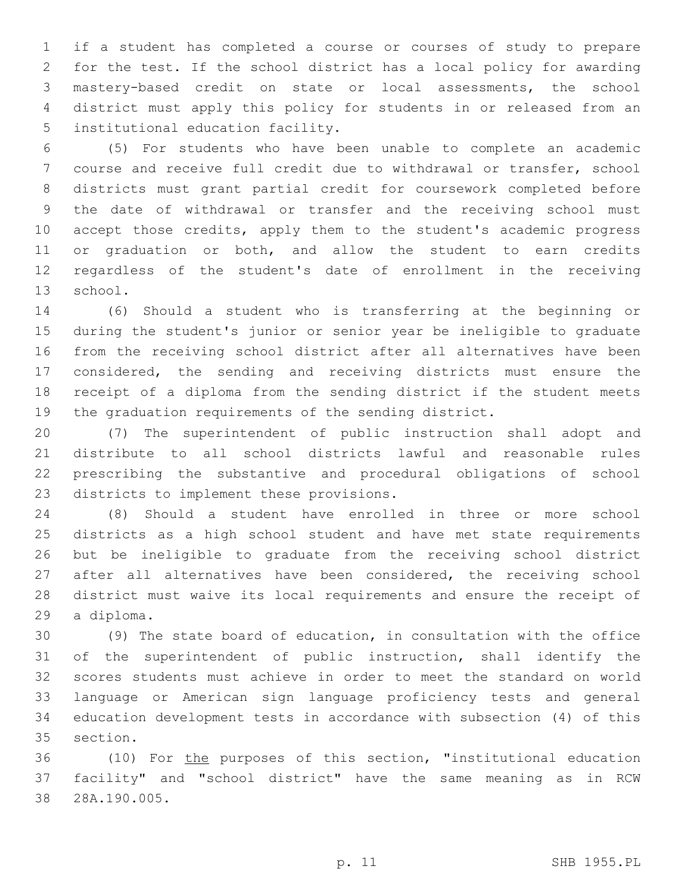if a student has completed a course or courses of study to prepare for the test. If the school district has a local policy for awarding mastery-based credit on state or local assessments, the school district must apply this policy for students in or released from an 5 institutional education facility.

 (5) For students who have been unable to complete an academic course and receive full credit due to withdrawal or transfer, school districts must grant partial credit for coursework completed before the date of withdrawal or transfer and the receiving school must accept those credits, apply them to the student's academic progress or graduation or both, and allow the student to earn credits regardless of the student's date of enrollment in the receiving 13 school.

 (6) Should a student who is transferring at the beginning or during the student's junior or senior year be ineligible to graduate from the receiving school district after all alternatives have been considered, the sending and receiving districts must ensure the receipt of a diploma from the sending district if the student meets the graduation requirements of the sending district.

 (7) The superintendent of public instruction shall adopt and distribute to all school districts lawful and reasonable rules prescribing the substantive and procedural obligations of school 23 districts to implement these provisions.

 (8) Should a student have enrolled in three or more school districts as a high school student and have met state requirements but be ineligible to graduate from the receiving school district 27 after all alternatives have been considered, the receiving school district must waive its local requirements and ensure the receipt of 29 a diploma.

 (9) The state board of education, in consultation with the office of the superintendent of public instruction, shall identify the scores students must achieve in order to meet the standard on world language or American sign language proficiency tests and general education development tests in accordance with subsection (4) of this 35 section.

 (10) For the purposes of this section, "institutional education facility" and "school district" have the same meaning as in RCW 28A.190.005.38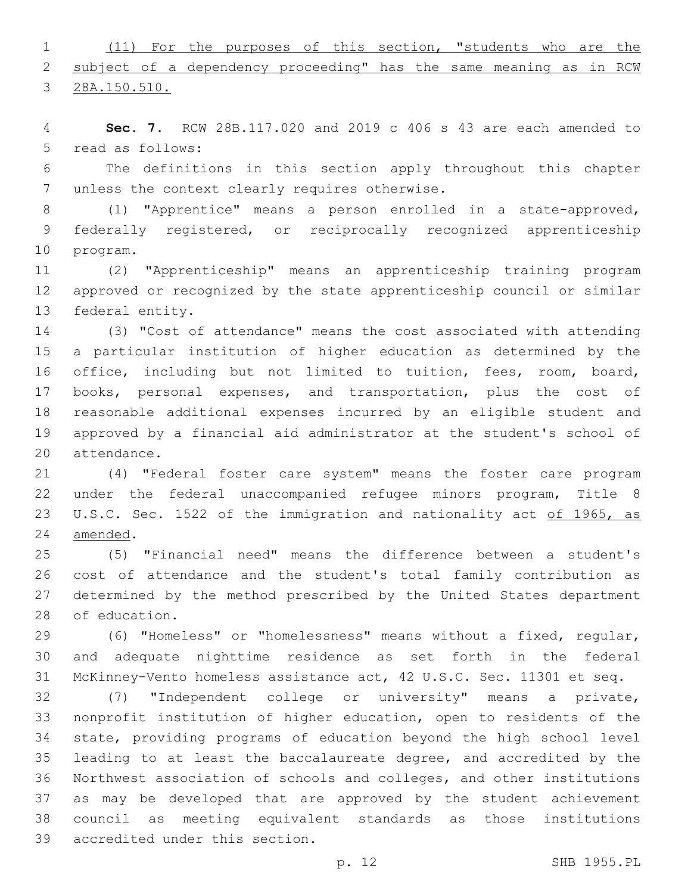(11) For the purposes of this section, "students who are the 2 subject of a dependency proceeding" has the same meaning as in RCW

28A.150.510.

 **Sec. 7.** RCW 28B.117.020 and 2019 c 406 s 43 are each amended to 5 read as follows:

 The definitions in this section apply throughout this chapter 7 unless the context clearly requires otherwise.

 (1) "Apprentice" means a person enrolled in a state-approved, federally registered, or reciprocally recognized apprenticeship 10 program.

 (2) "Apprenticeship" means an apprenticeship training program approved or recognized by the state apprenticeship council or similar 13 federal entity.

 (3) "Cost of attendance" means the cost associated with attending a particular institution of higher education as determined by the office, including but not limited to tuition, fees, room, board, books, personal expenses, and transportation, plus the cost of reasonable additional expenses incurred by an eligible student and approved by a financial aid administrator at the student's school of 20 attendance.

 (4) "Federal foster care system" means the foster care program under the federal unaccompanied refugee minors program, Title 8 23 U.S.C. Sec. 1522 of the immigration and nationality act of 1965, as 24 amended.

 (5) "Financial need" means the difference between a student's cost of attendance and the student's total family contribution as determined by the method prescribed by the United States department 28 of education.

 (6) "Homeless" or "homelessness" means without a fixed, regular, and adequate nighttime residence as set forth in the federal McKinney-Vento homeless assistance act, 42 U.S.C. Sec. 11301 et seq.

 (7) "Independent college or university" means a private, nonprofit institution of higher education, open to residents of the state, providing programs of education beyond the high school level leading to at least the baccalaureate degree, and accredited by the Northwest association of schools and colleges, and other institutions as may be developed that are approved by the student achievement council as meeting equivalent standards as those institutions 39 accredited under this section.

p. 12 SHB 1955.PL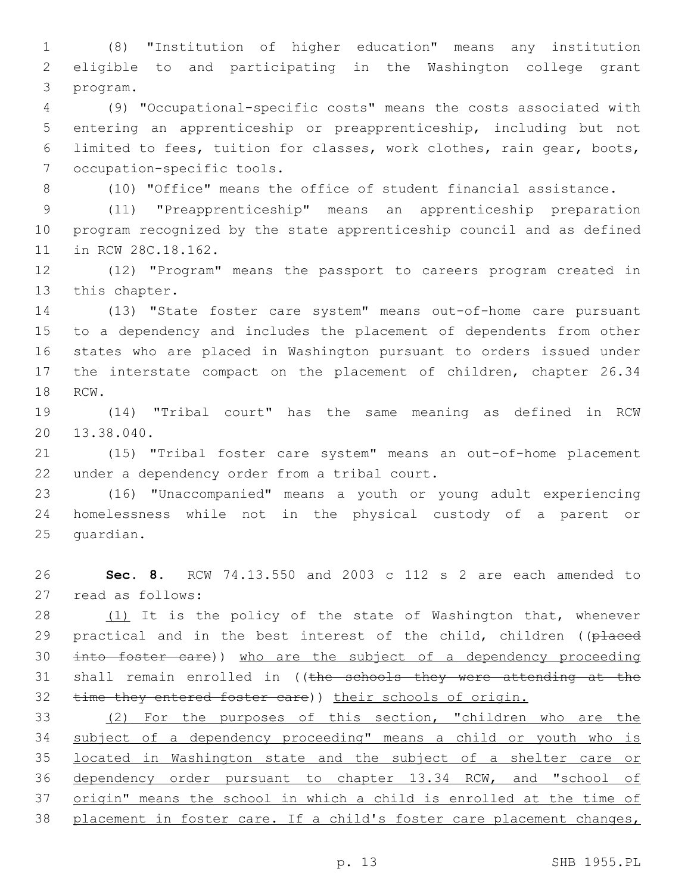(8) "Institution of higher education" means any institution eligible to and participating in the Washington college grant 3 program.

 (9) "Occupational-specific costs" means the costs associated with entering an apprenticeship or preapprenticeship, including but not limited to fees, tuition for classes, work clothes, rain gear, boots, 7 occupation-specific tools.

(10) "Office" means the office of student financial assistance.

 (11) "Preapprenticeship" means an apprenticeship preparation program recognized by the state apprenticeship council and as defined 11 in RCW 28C.18.162.

 (12) "Program" means the passport to careers program created in 13 this chapter.

 (13) "State foster care system" means out-of-home care pursuant to a dependency and includes the placement of dependents from other states who are placed in Washington pursuant to orders issued under the interstate compact on the placement of children, chapter 26.34 18 RCW.

 (14) "Tribal court" has the same meaning as defined in RCW 20 13.38.040.

 (15) "Tribal foster care system" means an out-of-home placement 22 under a dependency order from a tribal court.

 (16) "Unaccompanied" means a youth or young adult experiencing homelessness while not in the physical custody of a parent or 25 quardian.

 **Sec. 8.** RCW 74.13.550 and 2003 c 112 s 2 are each amended to 27 read as follows:

28 (1) It is the policy of the state of Washington that, whenever 29 practical and in the best interest of the child, children ((placed into foster care)) who are the subject of a dependency proceeding 31 shall remain enrolled in ((the schools they were attending at the 32 time they entered foster care)) their schools of origin.

 (2) For the purposes of this section, "children who are the subject of a dependency proceeding" means a child or youth who is located in Washington state and the subject of a shelter care or dependency order pursuant to chapter 13.34 RCW, and "school of 37 origin" means the school in which a child is enrolled at the time of placement in foster care. If a child's foster care placement changes,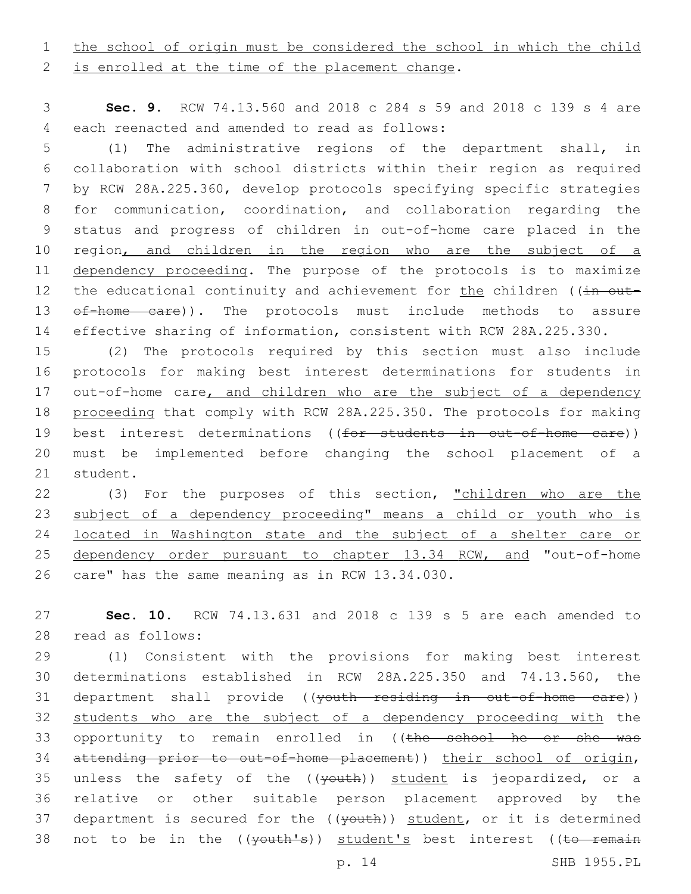1 the school of origin must be considered the school in which the child

2 is enrolled at the time of the placement change.

3 **Sec. 9.** RCW 74.13.560 and 2018 c 284 s 59 and 2018 c 139 s 4 are each reenacted and amended to read as follows:4

 (1) The administrative regions of the department shall, in collaboration with school districts within their region as required by RCW 28A.225.360, develop protocols specifying specific strategies for communication, coordination, and collaboration regarding the status and progress of children in out-of-home care placed in the 10 region, and children in the region who are the subject of a dependency proceeding. The purpose of the protocols is to maximize 12 the educational continuity and achievement for the children ((in out-13 of-home care)). The protocols must include methods to assure effective sharing of information, consistent with RCW 28A.225.330.

15 (2) The protocols required by this section must also include 16 protocols for making best interest determinations for students in 17 out-of-home care, and children who are the subject of a dependency 18 proceeding that comply with RCW 28A.225.350. The protocols for making 19 best interest determinations ((for students in out-of-home care)) 20 must be implemented before changing the school placement of a 21 student.

22 (3) For the purposes of this section, "children who are the 23 subject of a dependency proceeding" means a child or youth who is 24 located in Washington state and the subject of a shelter care or 25 dependency order pursuant to chapter 13.34 RCW, and "out-of-home 26 care" has the same meaning as in RCW 13.34.030.

27 **Sec. 10.** RCW 74.13.631 and 2018 c 139 s 5 are each amended to 28 read as follows:

29 (1) Consistent with the provisions for making best interest 30 determinations established in RCW 28A.225.350 and 74.13.560, the 31 department shall provide ((youth residing in out-of-home care)) 32 students who are the subject of a dependency proceeding with the 33 opportunity to remain enrolled in ((the school he or she was 34 attending prior to out-of-home placement)) their school of origin, 35 unless the safety of the  $((\text{youth}))$  student is jeopardized, or a 36 relative or other suitable person placement approved by the 37 department is secured for the ((youth)) student, or it is determined 38 not to be in the ((youth's)) student's best interest ((to remain

p. 14 SHB 1955.PL